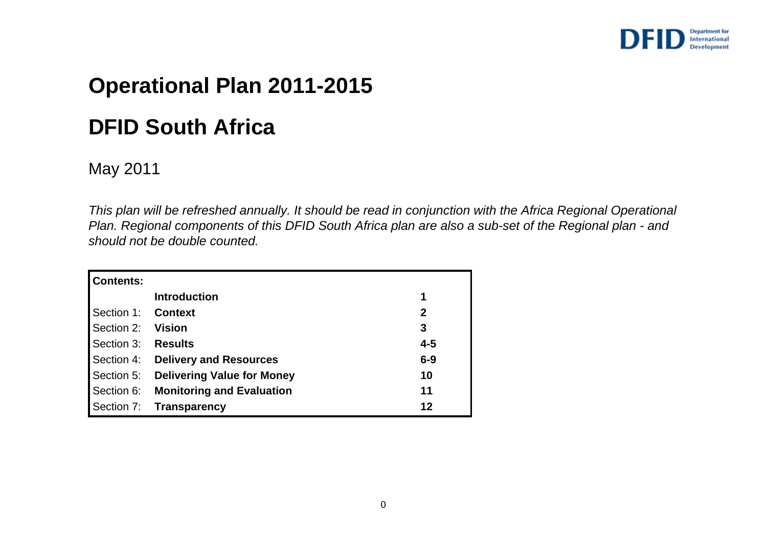

## **Operational Plan 2011-2015**

## **DFID South Africa**

### May 2011

*This plan will be refreshed annually. It should be read in conjunction with the Africa Regional Operational Plan. Regional components of this DFID South Africa plan are also a sub-set of the Regional plan - and should not be double counted.*

| <b>Contents:</b>   |                                       |             |
|--------------------|---------------------------------------|-------------|
|                    | <b>Introduction</b>                   | 1           |
| Section 1: Context |                                       | $\mathbf 2$ |
| Section 2: Vision  |                                       | 3           |
| Section 3: Results |                                       | $4 - 5$     |
|                    | Section 4: Delivery and Resources     | $6-9$       |
|                    | Section 5: Delivering Value for Money | 10          |
|                    | Section 6: Monitoring and Evaluation  | 11          |
|                    | Section 7: Transparency               | 12          |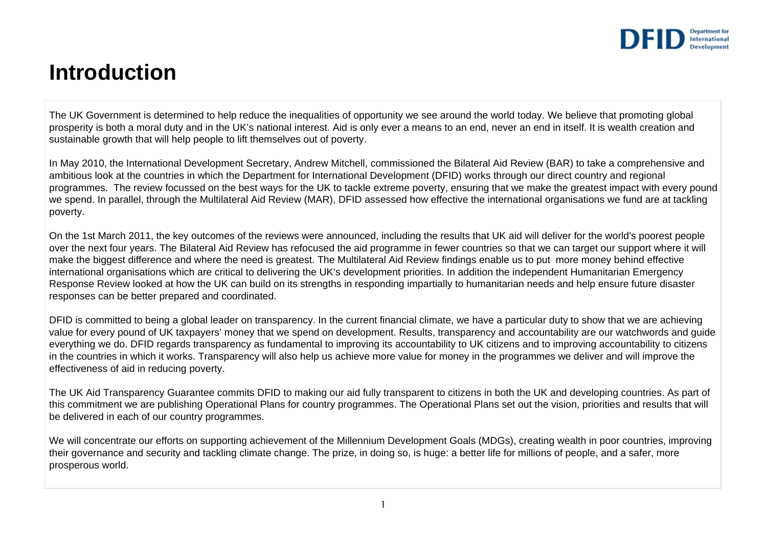

### **Introduction**

The UK Government is determined to help reduce the inequalities of opportunity we see around the world today. We believe that promoting global prosperity is both a moral duty and in the UK's national interest. Aid is only ever a means to an end, never an end in itself. It is wealth creation and sustainable growth that will help people to lift themselves out of poverty.

In May 2010, the International Development Secretary, Andrew Mitchell, commissioned the Bilateral Aid Review (BAR) to take a comprehensive and ambitious look at the countries in which the Department for International Development (DFID) works through our direct country and regional programmes. The review focussed on the best ways for the UK to tackle extreme poverty, ensuring that we make the greatest impact with every pound we spend. In parallel, through the Multilateral Aid Review (MAR), DFID assessed how effective the international organisations we fund are at tackling poverty.

On the 1st March 2011, the key outcomes of the reviews were announced, including the results that UK aid will deliver for the world's poorest people over the next four years. The Bilateral Aid Review has refocused the aid programme in fewer countries so that we can target our support where it will make the biggest difference and where the need is greatest. The Multilateral Aid Review findings enable us to put more money behind effective international organisations which are critical to delivering the UK's development priorities. In addition the independent Humanitarian Emergency Response Review looked at how the UK can build on its strengths in responding impartially to humanitarian needs and help ensure future disaster responses can be better prepared and coordinated.

DFID is committed to being a global leader on transparency. In the current financial climate, we have a particular duty to show that we are achieving value for every pound of UK taxpayers' money that we spend on development. Results, transparency and accountability are our watchwords and guide everything we do. DFID regards transparency as fundamental to improving its accountability to UK citizens and to improving accountability to citizens in the countries in which it works. Transparency will also help us achieve more value for money in the programmes we deliver and will improve the effectiveness of aid in reducing poverty.

The UK Aid Transparency Guarantee commits DFID to making our aid fully transparent to citizens in both the UK and developing countries. As part of this commitment we are publishing Operational Plans for country programmes. The Operational Plans set out the vision, priorities and results that will be delivered in each of our country programmes.

We will concentrate our efforts on supporting achievement of the Millennium Development Goals (MDGs), creating wealth in poor countries, improving their governance and security and tackling climate change. The prize, in doing so, is huge: a better life for millions of people, and a safer, more prosperous world.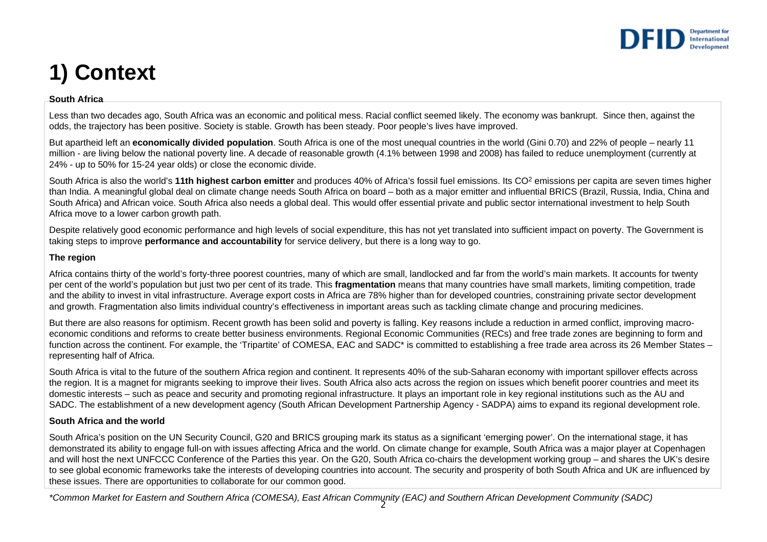

# **1) Context**

#### **South Africa**

Less than two decades ago, South Africa was an economic and political mess. Racial conflict seemed likely. The economy was bankrupt. Since then, against the odds, the trajectory has been positive. Society is stable. Growth has been steady. Poor people's lives have improved.

But apartheid left an **economically divided population**. South Africa is one of the most unequal countries in the world (Gini 0.70) and 22% of people – nearly 11 million - are living below the national poverty line. A decade of reasonable growth (4.1% between 1998 and 2008) has failed to reduce unemployment (currently at 24% - up to 50% for 15-24 year olds) or close the economic divide.

South Africa is also the world's 11th highest carbon emitter and produces 40% of Africa's fossil fuel emissions. Its CO<sup>2</sup> emissions per capita are seven times higher than India. A meaningful global deal on climate change needs South Africa on board – both as a major emitter and influential BRICS (Brazil, Russia, India, China and South Africa) and African voice. South Africa also needs a global deal. This would offer essential private and public sector international investment to help South Africa move to a lower carbon growth path.

Despite relatively good economic performance and high levels of social expenditure, this has not yet translated into sufficient impact on poverty. The Government is taking steps to improve **performance and accountability** for service delivery, but there is a long way to go.

### **The region**

Africa contains thirty of the world's forty-three poorest countries, many of which are small, landlocked and far from the world's main markets. It accounts for twenty per cent of the world's population but just two per cent of its trade. This **fragmentation** means that many countries have small markets, limiting competition, trade and the ability to invest in vital infrastructure. Average export costs in Africa are 78% higher than for developed countries, constraining private sector development and growth. Fragmentation also limits individual country's effectiveness in important areas such as tackling climate change and procuring medicines.

But there are also reasons for optimism. Recent growth has been solid and poverty is falling. Key reasons include a reduction in armed conflict, improving macroeconomic conditions and reforms to create better business environments. Regional Economic Communities (RECs) and free trade zones are beginning to form and function across the continent. For example, the 'Tripartite' of COMESA, EAC and SADC\* is committed to establishing a free trade area across its 26 Member States – representing half of Africa.

South Africa is vital to the future of the southern Africa region and continent. It represents 40% of the sub-Saharan economy with important spillover effects across the region. It is a magnet for migrants seeking to improve their lives. South Africa also acts across the region on issues which benefit poorer countries and meet its domestic interests – such as peace and security and promoting regional infrastructure. It plays an important role in key regional institutions such as the AU and SADC. The establishment of a new development agency (South African Development Partnership Agency - SADPA) aims to expand its regional development role.

### **South Africa and the world**

South Africa's position on the UN Security Council, G20 and BRICS grouping mark its status as a significant 'emerging power'. On the international stage, it has demonstrated its ability to engage full-on with issues affecting Africa and the world. On climate change for example, South Africa was a major player at Copenhagen and will host the next UNFCCC Conference of the Parties this year. On the G20, South Africa co-chairs the development working group – and shares the UK's desire to see global economic frameworks take the interests of developing countries into account. The security and prosperity of both South Africa and UK are influenced by these issues. There are opportunities to collaborate for our common good.

2*\*Common Market for Eastern and Southern Africa (COMESA), East African Community (EAC) and Southern African Development Community (SADC)*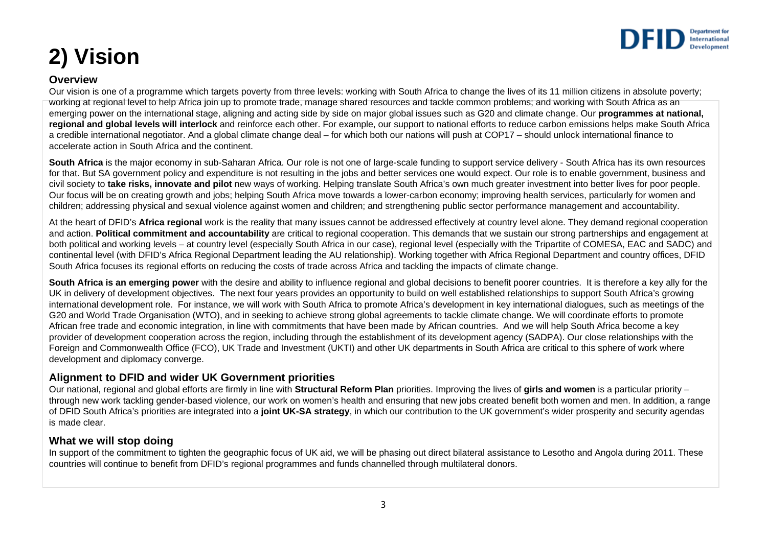

# **2) Vision**

### **Overview**

Our vision is one of a programme which targets poverty from three levels: working with South Africa to change the lives of its 11 million citizens in absolute poverty; working at regional level to help Africa join up to promote trade, manage shared resources and tackle common problems; and working with South Africa as an emerging power on the international stage, aligning and acting side by side on major global issues such as G20 and climate change. Our **programmes at national, regional and global levels will interlock** and reinforce each other. For example, our support to national efforts to reduce carbon emissions helps make South Africa a credible international negotiator. And a global climate change deal – for which both our nations will push at COP17 – should unlock international finance to accelerate action in South Africa and the continent.

**South Africa** is the major economy in sub-Saharan Africa. Our role is not one of large-scale funding to support service delivery - South Africa has its own resources for that. But SA government policy and expenditure is not resulting in the jobs and better services one would expect. Our role is to enable government, business and civil society to **take risks, innovate and pilot** new ways of working. Helping translate South Africa's own much greater investment into better lives for poor people. Our focus will be on creating growth and jobs; helping South Africa move towards a lower-carbon economy; improving health services, particularly for women and children; addressing physical and sexual violence against women and children; and strengthening public sector performance management and accountability.

At the heart of DFID's **Africa regional** work is the reality that many issues cannot be addressed effectively at country level alone. They demand regional cooperation and action. **Political commitment and accountability** are critical to regional cooperation. This demands that we sustain our strong partnerships and engagement at both political and working levels – at country level (especially South Africa in our case), regional level (especially with the Tripartite of COMESA, EAC and SADC) and continental level (with DFID's Africa Regional Department leading the AU relationship). Working together with Africa Regional Department and country offices, DFID South Africa focuses its regional efforts on reducing the costs of trade across Africa and tackling the impacts of climate change.

**South Africa is an emerging power** with the desire and ability to influence regional and global decisions to benefit poorer countries. It is therefore a key ally for the UK in delivery of development objectives. The next four years provides an opportunity to build on well established relationships to support South Africa's growing international development role. For instance, we will work with South Africa to promote Africa's development in key international dialogues, such as meetings of the G20 and World Trade Organisation (WTO), and in seeking to achieve strong global agreements to tackle climate change. We will coordinate efforts to promote African free trade and economic integration, in line with commitments that have been made by African countries. And we will help South Africa become a key provider of development cooperation across the region, including through the establishment of its development agency (SADPA). Our close relationships with the Foreign and Commonwealth Office (FCO), UK Trade and Investment (UKTI) and other UK departments in South Africa are critical to this sphere of work where development and diplomacy converge.

### **Alignment to DFID and wider UK Government priorities**

Our national, regional and global efforts are firmly in line with **Structural Reform Plan** priorities. Improving the lives of **girls and women** is a particular priority – through new work tackling gender-based violence, our work on women's health and ensuring that new jobs created benefit both women and men. In addition, a range of DFID South Africa's priorities are integrated into a **joint UK-SA strategy**, in which our contribution to the UK government's wider prosperity and security agendas is made clear.

### **What we will stop doing**

In support of the commitment to tighten the geographic focus of UK aid, we will be phasing out direct bilateral assistance to Lesotho and Angola during 2011. These countries will continue to benefit from DFID's regional programmes and funds channelled through multilateral donors.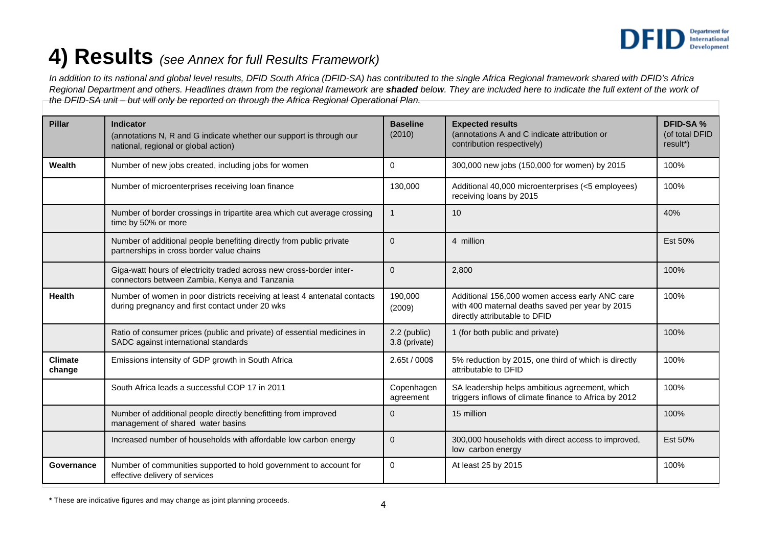

## **4) Results** *(see Annex for full Results Framework)*

*In addition to its national and global level results, DFID South Africa (DFID-SA) has contributed to the single Africa Regional framework shared with DFID's Africa Regional Department and others. Headlines drawn from the regional framework are shaded below. They are included here to indicate the full extent of the work of the DFID-SA unit – but will only be reported on through the Africa Regional Operational Plan.* 

| <b>Pillar</b>            | Indicator<br>(annotations N, R and G indicate whether our support is through our<br>national, regional or global action)     | <b>Baseline</b><br>(2010)     | <b>Expected results</b><br>(annotations A and C indicate attribution or<br>contribution respectively)                              | <b>DFID-SA%</b><br>(of total DFID<br>result*) |
|--------------------------|------------------------------------------------------------------------------------------------------------------------------|-------------------------------|------------------------------------------------------------------------------------------------------------------------------------|-----------------------------------------------|
| Wealth                   | Number of new jobs created, including jobs for women                                                                         | $\Omega$                      | 300,000 new jobs (150,000 for women) by 2015                                                                                       | 100%                                          |
|                          | Number of microenterprises receiving loan finance                                                                            | 130,000                       | Additional 40,000 microenterprises (<5 employees)<br>receiving loans by 2015                                                       | 100%                                          |
|                          | Number of border crossings in tripartite area which cut average crossing<br>time by 50% or more                              | $\mathbf{1}$                  | 10                                                                                                                                 | 40%                                           |
|                          | Number of additional people benefiting directly from public private<br>partnerships in cross border value chains             | $\Omega$                      | 4 million                                                                                                                          | Est 50%                                       |
|                          | Giga-watt hours of electricity traded across new cross-border inter-<br>connectors between Zambia, Kenya and Tanzania        | $\mathbf{0}$                  | 2,800                                                                                                                              | 100%                                          |
| <b>Health</b>            | Number of women in poor districts receiving at least 4 antenatal contacts<br>during pregnancy and first contact under 20 wks | 190,000<br>(2009)             | Additional 156,000 women access early ANC care<br>with 400 maternal deaths saved per year by 2015<br>directly attributable to DFID | 100%                                          |
|                          | Ratio of consumer prices (public and private) of essential medicines in<br>SADC against international standards              | 2.2 (public)<br>3.8 (private) | 1 (for both public and private)                                                                                                    | 100%                                          |
| <b>Climate</b><br>change | Emissions intensity of GDP growth in South Africa                                                                            | 2.65t / 000\$                 | 5% reduction by 2015, one third of which is directly<br>attributable to DFID                                                       | 100%                                          |
|                          | South Africa leads a successful COP 17 in 2011                                                                               | Copenhagen<br>agreement       | SA leadership helps ambitious agreement, which<br>triggers inflows of climate finance to Africa by 2012                            | 100%                                          |
|                          | Number of additional people directly benefitting from improved<br>management of shared water basins                          | $\Omega$                      | 15 million                                                                                                                         | 100%                                          |
|                          | Increased number of households with affordable low carbon energy                                                             | $\mathbf{0}$                  | 300,000 households with direct access to improved,<br>low carbon energy                                                            | Est 50%                                       |
| Governance               | Number of communities supported to hold government to account for<br>effective delivery of services                          | $\mathbf 0$                   | At least 25 by 2015                                                                                                                | 100%                                          |

**\*** These are indicative figures and may change as joint planning proceeds.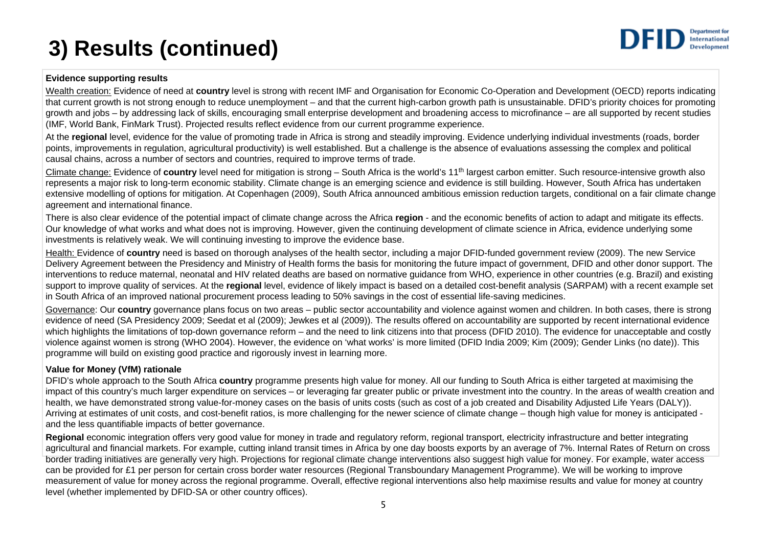# **3) Results (continued)**



### **Evidence supporting results**

Wealth creation: Evidence of need at **country** level is strong with recent IMF and Organisation for Economic Co-Operation and Development (OECD) reports indicating that current growth is not strong enough to reduce unemployment – and that the current high-carbon growth path is unsustainable. DFID's priority choices for promoting growth and jobs – by addressing lack of skills, encouraging small enterprise development and broadening access to microfinance – are all supported by recent studies (IMF, World Bank, FinMark Trust). Projected results reflect evidence from our current programme experience.

At the **regional** level, evidence for the value of promoting trade in Africa is strong and steadily improving. Evidence underlying individual investments (roads, border points, improvements in regulation, agricultural productivity) is well established. But a challenge is the absence of evaluations assessing the complex and political causal chains, across a number of sectors and countries, required to improve terms of trade.

Climate change: Evidence of **country** level need for mitigation is strong – South Africa is the world's 11th largest carbon emitter. Such resource-intensive growth also represents a major risk to long-term economic stability. Climate change is an emerging science and evidence is still building. However, South Africa has undertaken extensive modelling of options for mitigation. At Copenhagen (2009), South Africa announced ambitious emission reduction targets, conditional on a fair climate change agreement and international finance.

There is also clear evidence of the potential impact of climate change across the Africa **region** - and the economic benefits of action to adapt and mitigate its effects. Our knowledge of what works and what does not is improving. However, given the continuing development of climate science in Africa, evidence underlying some investments is relatively weak. We will continuing investing to improve the evidence base.

Health: Evidence of **country** need is based on thorough analyses of the health sector, including a major DFID-funded government review (2009). The new Service Delivery Agreement between the Presidency and Ministry of Health forms the basis for monitoring the future impact of government, DFID and other donor support. The interventions to reduce maternal, neonatal and HIV related deaths are based on normative guidance from WHO, experience in other countries (e.g. Brazil) and existing support to improve quality of services. At the **regional** level, evidence of likely impact is based on a detailed cost-benefit analysis (SARPAM) with a recent example set in South Africa of an improved national procurement process leading to 50% savings in the cost of essential life-saving medicines.

Governance: Our **country** governance plans focus on two areas – public sector accountability and violence against women and children. In both cases, there is strong evidence of need (SA Presidency 2009; Seedat et al (2009); Jewkes et al (2009)). The results offered on accountability are supported by recent international evidence which highlights the limitations of top-down governance reform – and the need to link citizens into that process (DFID 2010). The evidence for unacceptable and costly violence against women is strong (WHO 2004). However, the evidence on 'what works' is more limited (DFID India 2009; Kim (2009); Gender Links (no date)). This programme will build on existing good practice and rigorously invest in learning more.

### **Value for Money (VfM) rationale**

DFID's whole approach to the South Africa **country** programme presents high value for money. All our funding to South Africa is either targeted at maximising the impact of this country's much larger expenditure on services – or leveraging far greater public or private investment into the country. In the areas of wealth creation and health, we have demonstrated strong value-for-money cases on the basis of units costs (such as cost of a job created and Disability Adjusted Life Years (DALY)). Arriving at estimates of unit costs, and cost-benefit ratios, is more challenging for the newer science of climate change – though high value for money is anticipated and the less quantifiable impacts of better governance.

**Regional** economic integration offers very good value for money in trade and regulatory reform, regional transport, electricity infrastructure and better integrating agricultural and financial markets. For example, cutting inland transit times in Africa by one day boosts exports by an average of 7%. Internal Rates of Return on cross border trading initiatives are generally very high. Projections for regional climate change interventions also suggest high value for money. For example, water access can be provided for £1 per person for certain cross border water resources (Regional Transboundary Management Programme). We will be working to improve measurement of value for money across the regional programme. Overall, effective regional interventions also help maximise results and value for money at country level (whether implemented by DFID-SA or other country offices).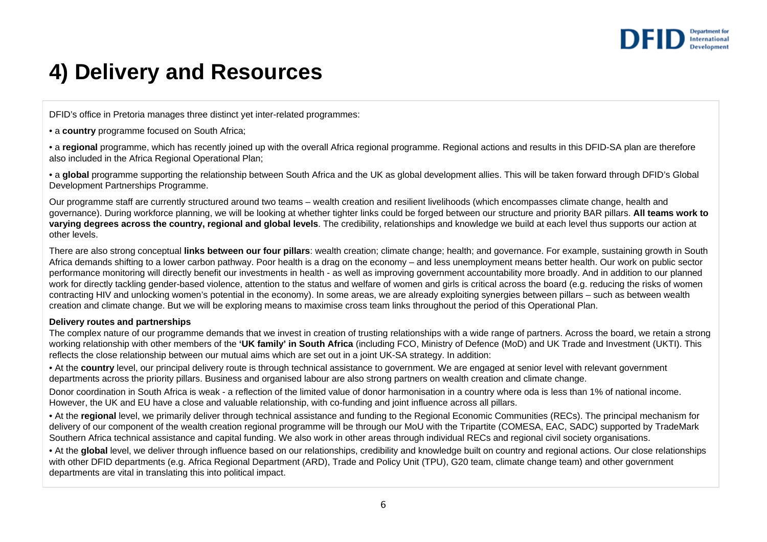

## **4) Delivery and Resources**

DFID's office in Pretoria manages three distinct yet inter-related programmes:

• <sup>a</sup>**country** programme focused on South Africa;

• a **regional** programme, which has recently joined up with the overall Africa regional programme. Regional actions and results in this DFID-SA plan are therefore also included in the Africa Regional Operational Plan;

• a **global** programme supporting the relationship between South Africa and the UK as global development allies. This will be taken forward through DFID's Global Development Partnerships Programme.

Our programme staff are currently structured around two teams – wealth creation and resilient livelihoods (which encompasses climate change, health and governance). During workforce planning, we will be looking at whether tighter links could be forged between our structure and priority BAR pillars. **All teams work to varying degrees across the country, regional and global levels**. The credibility, relationships and knowledge we build at each level thus supports our action at other levels.

There are also strong conceptual **links between our four pillars**: wealth creation; climate change; health; and governance. For example, sustaining growth in South Africa demands shifting to a lower carbon pathway. Poor health is a drag on the economy – and less unemployment means better health. Our work on public sector performance monitoring will directly benefit our investments in health - as well as improving government accountability more broadly. And in addition to our planned work for directly tackling gender-based violence, attention to the status and welfare of women and girls is critical across the board (e.g. reducing the risks of women contracting HIV and unlocking women's potential in the economy). In some areas, we are already exploiting synergies between pillars – such as between wealth creation and climate change. But we will be exploring means to maximise cross team links throughout the period of this Operational Plan.

#### **Delivery routes and partnerships**

The complex nature of our programme demands that we invest in creation of trusting relationships with a wide range of partners. Across the board, we retain a strong working relationship with other members of the **'UK family' in South Africa** (including FCO, Ministry of Defence (MoD) and UK Trade and Investment (UKTI). This reflects the close relationship between our mutual aims which are set out in a joint UK-SA strategy. In addition:

• At the **country** level, our principal delivery route is through technical assistance to government. We are engaged at senior level with relevant government departments across the priority pillars. Business and organised labour are also strong partners on wealth creation and climate change.

Donor coordination in South Africa is weak - a reflection of the limited value of donor harmonisation in a country where oda is less than 1% of national income. However, the UK and EU have a close and valuable relationship, with co-funding and joint influence across all pillars.

• At the **regional** level, we primarily deliver through technical assistance and funding to the Regional Economic Communities (RECs). The principal mechanism for delivery of our component of the wealth creation regional programme will be through our MoU with the Tripartite (COMESA, EAC, SADC) supported by TradeMark Southern Africa technical assistance and capital funding. We also work in other areas through individual RECs and regional civil society organisations.

• At the **global** level, we deliver through influence based on our relationships, credibility and knowledge built on country and regional actions. Our close relationships with other DFID departments (e.g. Africa Regional Department (ARD), Trade and Policy Unit (TPU), G20 team, climate change team) and other government departments are vital in translating this into political impact.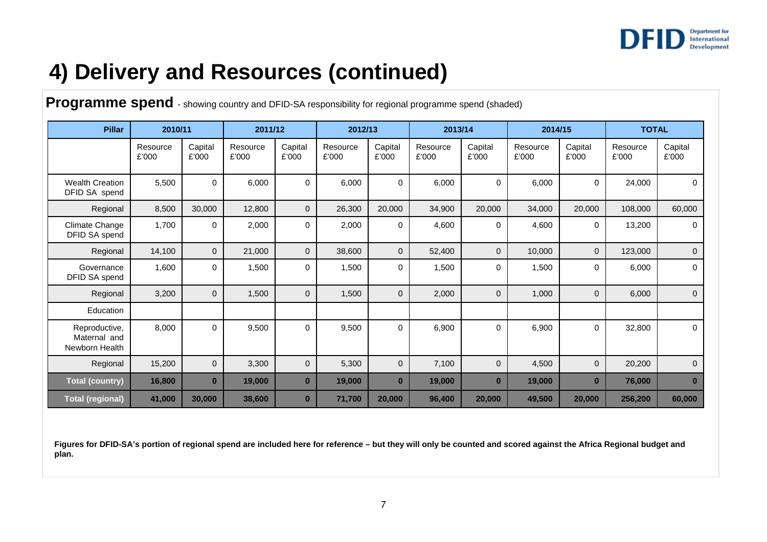

# **4) Delivery and Resources (continued)**

**Programme spend** - showing country and DFID-SA responsibility for regional programme spend (shaded)

| <b>Pillar</b>                                   | 2010/11           |                  | 2011/12           |                  | 2012/13           |                  | 2013/14           |                  | 2014/15           |                  | <b>TOTAL</b>      |                  |
|-------------------------------------------------|-------------------|------------------|-------------------|------------------|-------------------|------------------|-------------------|------------------|-------------------|------------------|-------------------|------------------|
|                                                 | Resource<br>£'000 | Capital<br>£'000 | Resource<br>£'000 | Capital<br>£'000 | Resource<br>£'000 | Capital<br>£'000 | Resource<br>£'000 | Capital<br>£'000 | Resource<br>£'000 | Capital<br>£'000 | Resource<br>£'000 | Capital<br>£'000 |
| <b>Wealth Creation</b><br>DFID SA spend         | 5,500             | 0                | 6,000             | 0                | 6,000             | 0                | 6,000             | $\mathbf 0$      | 6,000             | 0                | 24,000            | 0                |
| Regional                                        | 8,500             | 30,000           | 12,800            | $\mathbf{0}$     | 26,300            | 20,000           | 34,900            | 20,000           | 34,000            | 20,000           | 108,000           | 60,000           |
| Climate Change<br>DFID SA spend                 | 1,700             | 0                | 2,000             | 0                | 2,000             | 0                | 4,600             | $\mathbf 0$      | 4,600             | 0                | 13,200            | $\Omega$         |
| Regional                                        | 14,100            | $\mathbf{0}$     | 21,000            | $\mathbf 0$      | 38,600            | $\mathbf{0}$     | 52,400            | $\mathbf 0$      | 10,000            | $\mathbf 0$      | 123,000           | $\mathbf 0$      |
| Governance<br>DFID SA spend                     | 1,600             | 0                | 1,500             | 0                | 1,500             | 0                | 1,500             | $\mathbf 0$      | 1,500             | 0                | 6,000             | $\mathbf 0$      |
| Regional                                        | 3,200             | $\mathbf{0}$     | 1,500             | $\mathbf 0$      | 1,500             | $\mathbf{0}$     | 2,000             | $\mathbf 0$      | 1,000             | $\mathbf{0}$     | 6,000             | $\mathbf{0}$     |
| Education                                       |                   |                  |                   |                  |                   |                  |                   |                  |                   |                  |                   |                  |
| Reproductive,<br>Maternal and<br>Newborn Health | 8,000             | $\Omega$         | 9,500             | 0                | 9,500             | 0                | 6,900             | $\mathbf 0$      | 6,900             | $\mathbf 0$      | 32,800            | $\mathbf 0$      |
| Regional                                        | 15,200            | $\overline{0}$   | 3,300             | $\mathbf 0$      | 5,300             | $\mathbf{0}$     | 7,100             | $\mathbf 0$      | 4,500             | $\mathbf{0}$     | 20,200            | $\mathbf{0}$     |
| <b>Total (country)</b>                          | 16,800            | $\bf{0}$         | 19,000            | $\bf{0}$         | 19,000            | $\bf{0}$         | 19,000            | $\bf{0}$         | 19,000            | $\bf{0}$         | 76,000            | $\bf{0}$         |
| <b>Total (regional)</b>                         | 41,000            | 30,000           | 38,600            | $\bf{0}$         | 71,700            | 20,000           | 96,400            | 20,000           | 49,500            | 20,000           | 256,200           | 60,000           |

Figures for DFID-SA's portion of regional spend are included here for reference – but they will only be counted and scored against the Africa Regional budget and **plan.**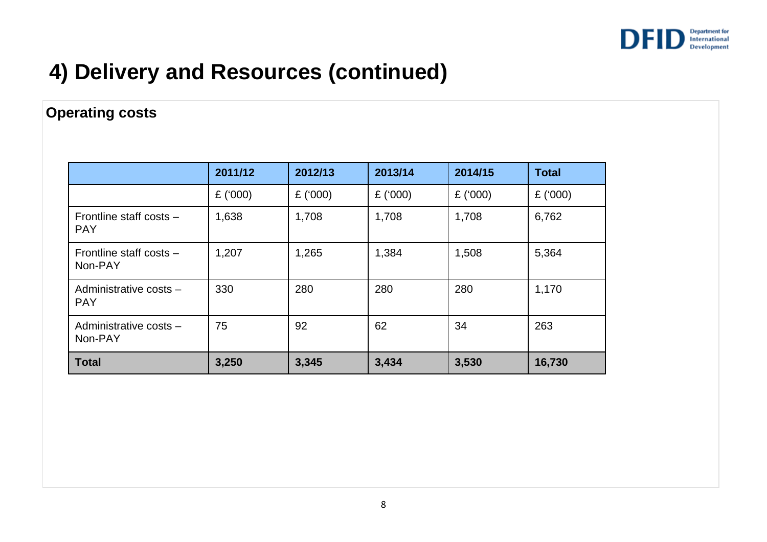

# **4) Delivery and Resources (continued)**

### **Operating costs**

|                                       | 2011/12   | 2012/13   | 2013/14    | 2014/15   | <b>Total</b> |
|---------------------------------------|-----------|-----------|------------|-----------|--------------|
|                                       | £ $(000)$ | £ $(000)$ | £ $(000)$  | £ $(000)$ | £ $(000)$    |
| Frontline staff costs -<br><b>PAY</b> | 1,638     | 1,708     | 1,708      | 1,708     | 6,762        |
| Frontline staff costs -<br>Non-PAY    | 1,207     | 1,265     | 1,384      | 1,508     | 5,364        |
| Administrative costs -<br><b>PAY</b>  | 330       | 280       | 280<br>280 |           | 1,170        |
| Administrative costs -<br>Non-PAY     | 75        | 92        | 62         | 34        | 263          |
| <b>Total</b>                          | 3,250     | 3,345     | 3,434      | 3,530     | 16,730       |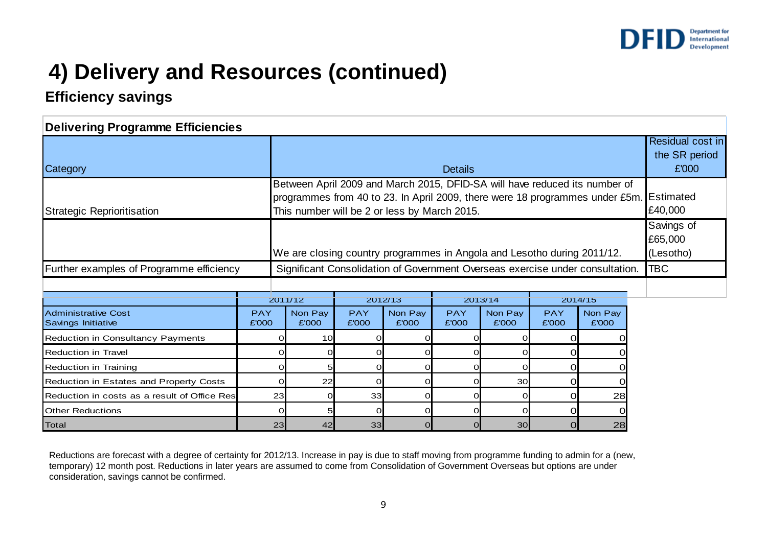

# **4) Delivery and Resources (continued)**

### **Efficiency savings**

| <b>Delivering Programme Efficiencies</b>         |                     |                                                                                                                                                                                                                      |                     |                  |                     |                                            |                     |                  |         |
|--------------------------------------------------|---------------------|----------------------------------------------------------------------------------------------------------------------------------------------------------------------------------------------------------------------|---------------------|------------------|---------------------|--------------------------------------------|---------------------|------------------|---------|
| Category<br><b>Details</b>                       |                     |                                                                                                                                                                                                                      |                     |                  |                     | Residual cost in<br>the SR period<br>£'000 |                     |                  |         |
| Strategic Reprioritisation                       |                     | Between April 2009 and March 2015, DFID-SA will have reduced its number of<br>programmes from 40 to 23. In April 2009, there were 18 programmes under £5m. Estimated<br>This number will be 2 or less by March 2015. |                     |                  |                     |                                            |                     |                  | £40,000 |
|                                                  |                     | We are closing country programmes in Angola and Lesotho during 2011/12.                                                                                                                                              |                     |                  |                     |                                            |                     |                  |         |
| Further examples of Programme efficiency         |                     | Significant Consolidation of Government Overseas exercise under consultation.                                                                                                                                        |                     |                  |                     |                                            |                     |                  | TBC     |
|                                                  |                     |                                                                                                                                                                                                                      |                     |                  |                     |                                            |                     |                  |         |
|                                                  |                     | 2011/12                                                                                                                                                                                                              | 2012/13             |                  | 2013/14             |                                            | 2014/15             |                  |         |
| <b>Administrative Cost</b><br>Savings Initiative | <b>PAY</b><br>£'000 | Non Pay<br>£'000                                                                                                                                                                                                     | <b>PAY</b><br>£'000 | Non Pay<br>£'000 | <b>PAY</b><br>£'000 | Non Pay<br>£'000                           | <b>PAY</b><br>£'000 | Non Pay<br>£'000 |         |
| <b>Reduction in Consultancy Payments</b>         |                     | 10 <sup>1</sup>                                                                                                                                                                                                      |                     |                  |                     |                                            |                     |                  |         |
| <b>Reduction in Travel</b>                       |                     |                                                                                                                                                                                                                      |                     |                  |                     |                                            |                     |                  |         |
| <b>Reduction in Training</b>                     |                     |                                                                                                                                                                                                                      |                     |                  |                     |                                            |                     |                  |         |
| Reduction in Estates and Property Costs          |                     | 22                                                                                                                                                                                                                   |                     |                  |                     | 30                                         |                     |                  |         |
| Reduction in costs as a result of Office Res     |                     | 23                                                                                                                                                                                                                   | 33                  |                  |                     |                                            |                     | 28               |         |
| <b>Other Reductions</b>                          |                     |                                                                                                                                                                                                                      |                     |                  |                     |                                            |                     |                  |         |
| <b>Total</b>                                     | 23                  | 42                                                                                                                                                                                                                   | 33                  |                  |                     | 30                                         | ΩI                  | 28               |         |

Reductions are forecast with a degree of certainty for 2012/13. Increase in pay is due to staff moving from programme funding to admin for a (new, temporary) 12 month post. Reductions in later years are assumed to come from Consolidation of Government Overseas but options are under consideration, savings cannot be confirmed.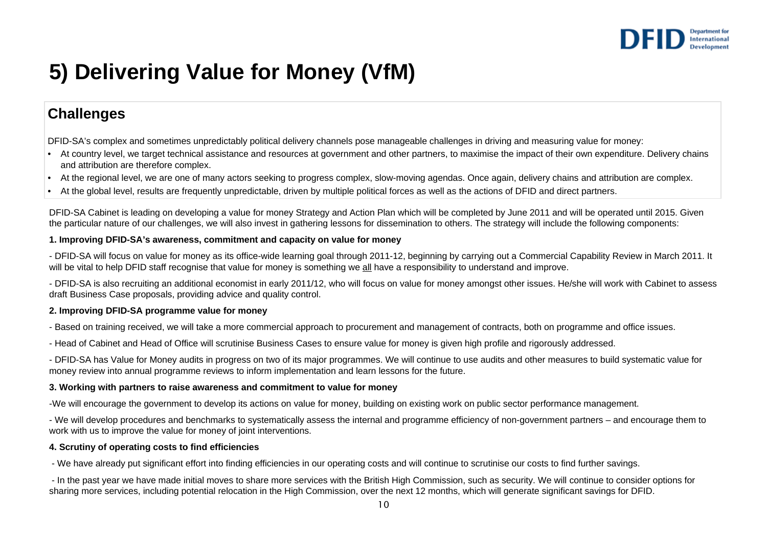

# **5) Delivering Value for Money (VfM)**

### **Challenges**

DFID-SA's complex and sometimes unpredictably political delivery channels pose manageable challenges in driving and measuring value for money:

- At country level, we target technical assistance and resources at government and other partners, to maximise the impact of their own expenditure. Delivery chains and attribution are therefore complex.
- At the regional level, we are one of many actors seeking to progress complex, slow-moving agendas. Once again, delivery chains and attribution are complex.
- At the global level, results are frequently unpredictable, driven by multiple political forces as well as the actions of DFID and direct partners.

DFID-SA Cabinet is leading on developing a value for money Strategy and Action Plan which will be completed by June 2011 and will be operated until 2015. Given the particular nature of our challenges, we will also invest in gathering lessons for dissemination to others. The strategy will include the following components:

#### **1. Improving DFID-SA's awareness, commitment and capacity on value for money**

- DFID-SA will focus on value for money as its office-wide learning goal through 2011-12, beginning by carrying out a Commercial Capability Review in March 2011. It will be vital to help DFID staff recognise that value for money is something we all have a responsibility to understand and improve.

- DFID-SA is also recruiting an additional economist in early 2011/12, who will focus on value for money amongst other issues. He/she will work with Cabinet to assess draft Business Case proposals, providing advice and quality control.

#### **2. Improving DFID-SA programme value for money**

- Based on training received, we will take a more commercial approach to procurement and management of contracts, both on programme and office issues.

- Head of Cabinet and Head of Office will scrutinise Business Cases to ensure value for money is given high profile and rigorously addressed.

- DFID-SA has Value for Money audits in progress on two of its major programmes. We will continue to use audits and other measures to build systematic value for money review into annual programme reviews to inform implementation and learn lessons for the future.

#### **3. Working with partners to raise awareness and commitment to value for money**

-We will encourage the government to develop its actions on value for money, building on existing work on public sector performance management.

- We will develop procedures and benchmarks to systematically assess the internal and programme efficiency of non-government partners – and encourage them to work with us to improve the value for money of joint interventions.

### **4. Scrutiny of operating costs to find efficiencies**

- We have already put significant effort into finding efficiencies in our operating costs and will continue to scrutinise our costs to find further savings.

- In the past year we have made initial moves to share more services with the British High Commission, such as security. We will continue to consider options for sharing more services, including potential relocation in the High Commission, over the next 12 months, which will generate significant savings for DFID.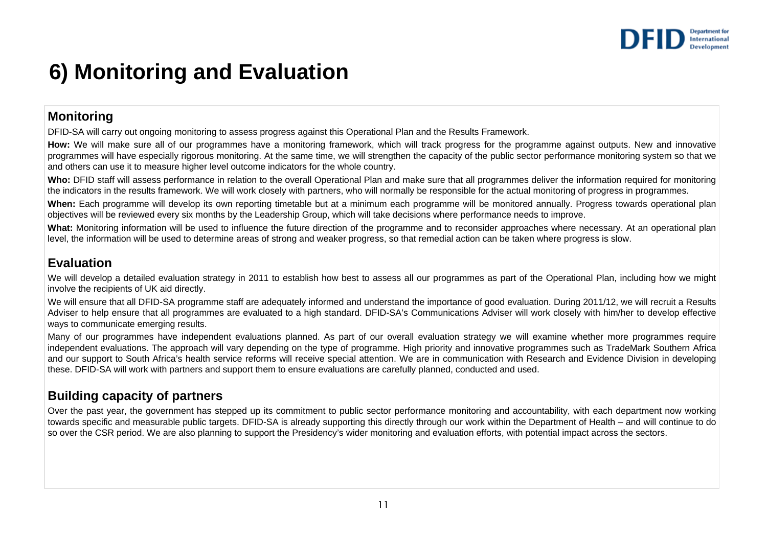

## **6) Monitoring and Evaluation**

### **Monitoring**

DFID-SA will carry out ongoing monitoring to assess progress against this Operational Plan and the Results Framework.

How: We will make sure all of our programmes have a monitoring framework, which will track progress for the programme against outputs. New and innovative programmes will have especially rigorous monitoring. At the same time, we will strengthen the capacity of the public sector performance monitoring system so that we and others can use it to measure higher level outcome indicators for the whole country.

**Who:** DFID staff will assess performance in relation to the overall Operational Plan and make sure that all programmes deliver the information required for monitoring the indicators in the results framework. We will work closely with partners, who will normally be responsible for the actual monitoring of progress in programmes.

**When:** Each programme will develop its own reporting timetable but at a minimum each programme will be monitored annually. Progress towards operational plan objectives will be reviewed every six months by the Leadership Group, which will take decisions where performance needs to improve.

What: Monitoring information will be used to influence the future direction of the programme and to reconsider approaches where necessary. At an operational plan level, the information will be used to determine areas of strong and weaker progress, so that remedial action can be taken where progress is slow.

### **Evaluation**

We will develop a detailed evaluation strategy in 2011 to establish how best to assess all our programmes as part of the Operational Plan, including how we might involve the recipients of UK aid directly.

We will ensure that all DFID-SA programme staff are adequately informed and understand the importance of good evaluation. During 2011/12, we will recruit a Results Adviser to help ensure that all programmes are evaluated to a high standard. DFID-SA's Communications Adviser will work closely with him/her to develop effective ways to communicate emerging results.

Many of our programmes have independent evaluations planned. As part of our overall evaluation strategy we will examine whether more programmes require independent evaluations. The approach will vary depending on the type of programme. High priority and innovative programmes such as TradeMark Southern Africa and our support to South Africa's health service reforms will receive special attention. We are in communication with Research and Evidence Division in developing these. DFID-SA will work with partners and support them to ensure evaluations are carefully planned, conducted and used.

### **Building capacity of partners**

Over the past year, the government has stepped up its commitment to public sector performance monitoring and accountability, with each department now working towards specific and measurable public targets. DFID-SA is already supporting this directly through our work within the Department of Health – and will continue to do so over the CSR period. We are also planning to support the Presidency's wider monitoring and evaluation efforts, with potential impact across the sectors.